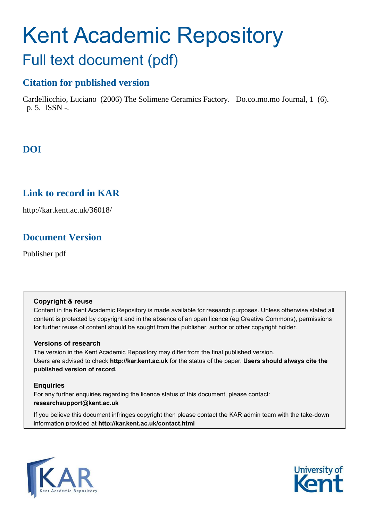# Kent Academic Repository Full text document (pdf)

# **Citation for published version**

Cardellicchio, Luciano (2006) The Solimene Ceramics Factory. Do.co.mo.mo Journal, 1 (6). p. 5. ISSN -.

# **DOI**

# **Link to record in KAR**

http://kar.kent.ac.uk/36018/

# **Document Version**

Publisher pdf

#### **Copyright & reuse**

Content in the Kent Academic Repository is made available for research purposes. Unless otherwise stated all content is protected by copyright and in the absence of an open licence (eg Creative Commons), permissions for further reuse of content should be sought from the publisher, author or other copyright holder.

#### **Versions of research**

The version in the Kent Academic Repository may differ from the final published version. Users are advised to check **http://kar.kent.ac.uk** for the status of the paper. **Users should always cite the published version of record.**

#### **Enquiries**

For any further enquiries regarding the licence status of this document, please contact: **researchsupport@kent.ac.uk**

If you believe this document infringes copyright then please contact the KAR admin team with the take-down information provided at **http://kar.kent.ac.uk/contact.html**



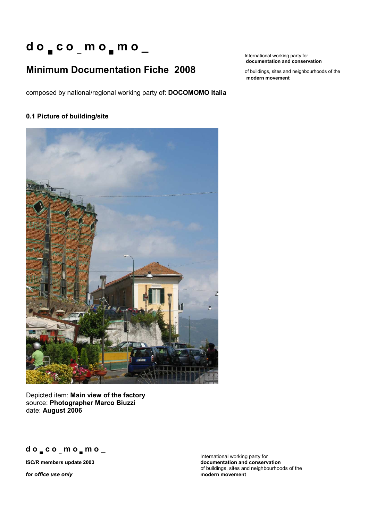# **d o c o \_ m o m o \_**

# **Minimum Documentation Fiche 2008** of buildings, sites and neighbourhoods of the

composed by national/regional working party of: **DOCOMOMO Italia**

#### **0.1 Picture of building/site**



Depicted item: **Main view of the factory**  source: **Photographer Marco Biuzzi**  date: **August 2006** 

**d o c o \_ m o m o \_**

*for office use only* 

International working party for **documentation and conservation** 

**modern movement**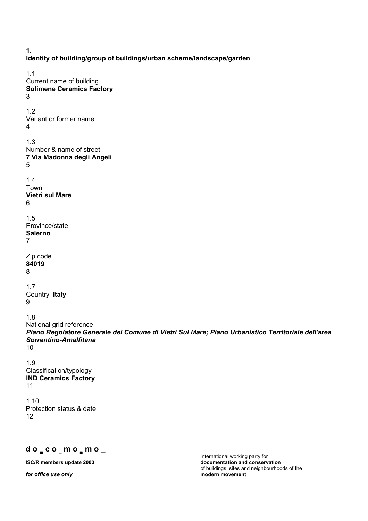**1. Identity of building/group of buildings/urban scheme/landscape/garden**  1.1 Current name of building **Solimene Ceramics Factory**  3 1.2 Variant or former name 4 1.3 Number & name of street **7 Via Madonna degli Angeli**  5 1.4 Town **Vietri sul Mare**  6 1.5 Province/state **Salerno**  7 Zip code **84019** 8 1.7 Country **Italy** 9 1.8 National grid reference *Piano Regolatore Generale del Comune di Vietri Sul Mare; Piano Urbanistico Territoriale dell'area Sorrentino-Amalfitana* 10 1.9 Classification/typology **IND Ceramics Factory**  11 1.10 Protection status & date 12

 $for$  office use only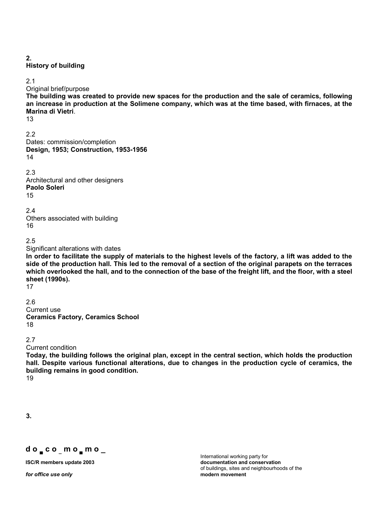**2.** 

#### **History of building**

2.1

Original brief/purpose

**The building was created to provide new spaces for the production and the sale of ceramics, following an increase in production at the Solimene company, which was at the time based, with firnaces, at the Marina di Vietri**.

13

2.2 Dates: commission/completion **Design, 1953; Construction, 1953-1956** 14

2.3

Architectural and other designers **Paolo Soleri**  15

2.4 Others associated with building 16

2.5

Significant alterations with dates

**In order to facilitate the supply of materials to the highest levels of the factory, a lift was added to the side of the production hall. This led to the removal of a section of the original parapets on the terraces which overlooked the hall, and to the connection of the base of the freight lift, and the floor, with a steel sheet (1990s).** 

17

2.6 Current use **Ceramics Factory, Ceramics School**  18

2.7

Current condition

**Today, the building follows the original plan, except in the central section, which holds the production hall. Despite various functional alterations, due to changes in the production cycle of ceramics, the building remains in good condition.** 

19

**3.** 

#### **d o c o \_ m o m o \_**

*for office use only* **modern movement**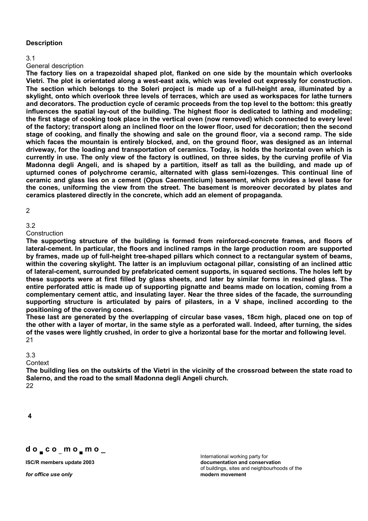#### **Description**

3.1

#### General description

**The factory lies on a trapezoidal shaped plot, flanked on one side by the mountain which overlooks Vietri. The plot is orientated along a west-east axis, which was leveled out expressly for construction. The section which belongs to the Soleri project is made up of a full-height area, illuminated by a skylight, onto which overlook three levels of terraces, which are used as workspaces for lathe turners and decorators. The production cycle of ceramic proceeds from the top level to the bottom: this greatly influences the spatial lay-out of the building. The highest floor is dedicated to lathing and modeling; the first stage of cooking took place in the vertical oven (now removed) which connected to every level of the factory; transport along an inclined floor on the lower floor, used for decoration; then the second stage of cooking, and finally the showing and sale on the ground floor, via a second ramp. The side**  which faces the mountain is entirely blocked, and, on the ground floor, was designed as an internal **driveway, for the loading and transportation of ceramics. Today, is holds the horizontal oven which is currently in use. The only view of the factory is outlined, on three sides, by the curving profile of Via Madonna degli Angeli, and is shaped by a partition, itself as tall as the building, and made up of upturned cones of polychrome ceramic, alternated with glass semi-lozenges. This continual line of ceramic and glass lies on a cement (Opus Caementicium) basement, which provides a level base for the cones, uniforming the view from the street. The basement is moreover decorated by plates and ceramics plastered directly in the concrete, which add an element of propaganda.** 

 $\mathfrak{p}$ 

#### 3.2

Construction

**The supporting structure of the building is formed from reinforced-concrete frames, and floors of lateral-cement. In particular, the floors and inclined ramps in the large production room are supported by frames, made up of full-height tree-shaped pillars which connect to a rectangular system of beams, within the covering skylight. The latter is an impluvium octagonal pillar, consisting of an inclined attic of lateral-cement, surrounded by prefabricated cement supports, in squared sections. The holes left by these supports were at first filled by glass sheets, and later by similar forms in resined glass. The entire perforated attic is made up of supporting pignatte and beams made on location, coming from a complementary cement attic, and insulating layer. Near the three sides of the facade, the surrounding supporting structure is articulated by pairs of pilasters, in a V shape, inclined according to the positioning of the covering cones.** 

**These last are generated by the overlapping of circular base vases, 18cm high, placed one on top of the other with a layer of mortar, in the same style as a perforated wall. Indeed, after turning, the sides of the vases were lightly crushed, in order to give a horizontal base for the mortar and following level.**  21

3.3

**Context** 

**The building lies on the outskirts of the Vietri in the vicinity of the crossroad between the state road to Salerno, and the road to the small Madonna degli Angeli church.**  22

**4**

#### **d o c o \_ m o m o \_**

*for office use only* **modern movement**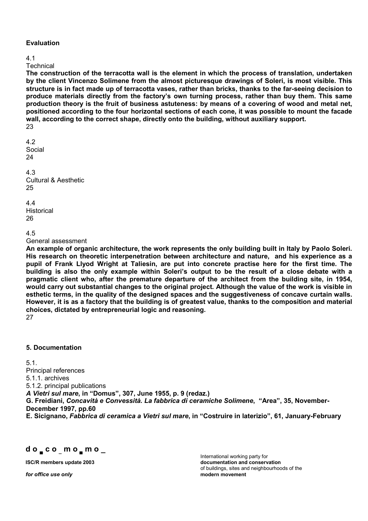#### **Evaluation**

#### 4.1

**Technical** 

**The construction of the terracotta wall is the element in which the process of translation, undertaken by the client Vincenzo Solimene from the almost picturesque drawings of Soleri, is most visible. This structure is in fact made up of terracotta vases, rather than bricks, thanks to the far-seeing decision to produce materials directly from the factoryís own turning process, rather than buy them. This same production theory is the fruit of business astuteness: by means of a covering of wood and metal net, positioned according to the four horizontal sections of each cone, it was possible to mount the facade wall, according to the correct shape, directly onto the building, without auxiliary support.**  23

4.2 Social 24 4.3 Cultural & Aesthetic 25

4.4 **Historical** 26

```
4.5
```
General assessment

**An example of organic architecture, the work represents the only building built in Italy by Paolo Soleri. His research on theoretic interpenetration between architecture and nature, and his experience as a pupil of Frank Llyod Wright at Taliesin, are put into concrete practise here for the first time. The**  building is also the only example within Soleri's output to be the result of a close debate with a **pragmatic client who, after the premature departure of the architect from the building site, in 1954, would carry out substantial changes to the original project. Although the value of the work is visible in esthetic terms, in the quality of the designed spaces and the suggestiveness of concave curtain walls. However, it is as a factory that the building is of greatest value, thanks to the composition and material choices, dictated by entrepreneurial logic and reasoning.**  27

#### **5. Documentation**

5.1. Principal references 5.1.1. archives 5.1.2. principal publications *A Vietri sul mare***, in ìDomusî, 307, June 1955, p. 9 (redaz.) G. Freidiani,** *Concavit‡ e Convessit‡. La fabbrica di ceramiche Solimene***, ìAreaî, 35, November-December 1997, pp.60** 

**E. Sicignano,** *Fabbrica di ceramica a Vietri sul mare***, in ìCostruire in laterizioî, 61, January-February** 

**d o c o \_ m o m o \_**

*for office use only* **modern movement**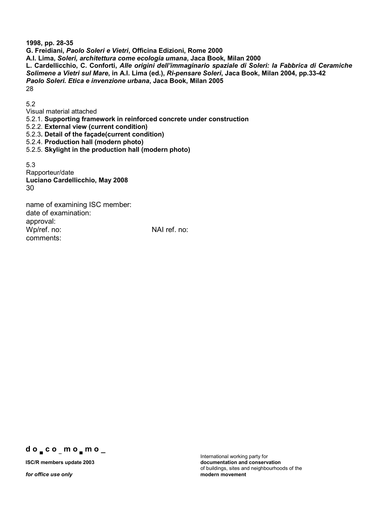**1998, pp. 28-35 G. Freidiani,** *Paolo Soleri e Vietri***, Officina Edizioni, Rome 2000 A.I. Lima,** *Soleri, architettura come ecologia umana***, Jaca Book, Milan 2000 L. Cardellicchio, C. Conforti,** *Alle origini dellíimmaginario spaziale di Soleri: la Fabbrica di Ceramiche Solimene a Vietri sul Mare***, in A.I. Lima (ed.),** *Ri-pensare Soleri***, Jaca Book, Milan 2004, pp.33-42**  *Paolo Soleri. Etica e invenzione urbana***, Jaca Book, Milan 2005**  28

5.2

Visual material attached

5.2.1. **Supporting framework in reinforced concrete under construction** 

5.2.2. **External view (current condition)** 

5.2.3**. Detail of the façade(current condition)** 

5.2.4. **Production hall (modern photo)** 

5.2.5. **Skylight in the production hall (modern photo)** 

5.3 Rapporteur/date **Luciano Cardellicchio, May 2008**  30

name of examining ISC member: date of examination: approval: Wp/ref. no: NAI ref. no: comments:

**d o c o \_ m o m o \_**

*for office use only*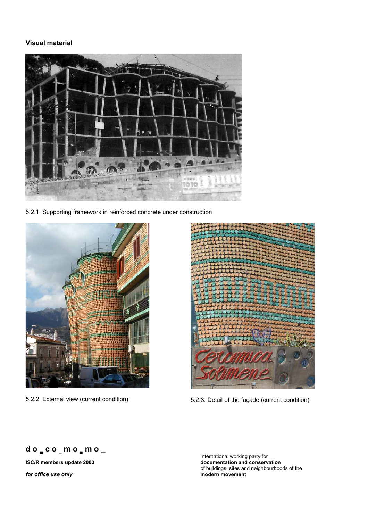#### **Visual material**



5.2.1. Supporting framework in reinforced concrete under construction





5.2.2. External view (current condition) 5.2.3. Detail of the façade (current condition)



*for office use only* **modern movement**